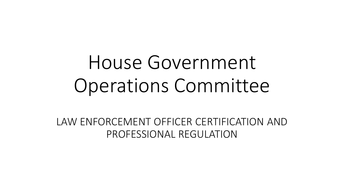# House Government Operations Committee

LAW ENFORCEMENT OFFICER CERTIFICATION AND PROFESSIONAL REGULATION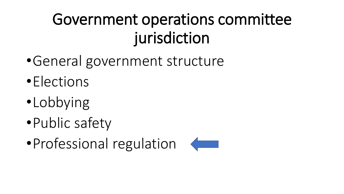## Government operations committee jurisdiction

- •General government structure
- •Elections
- •Lobbying
- •Public safety
- Professional regulation

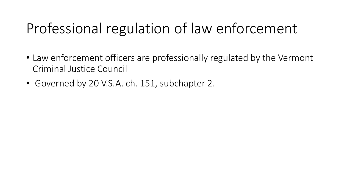### Professional regulation of law enforcement

- Law enforcement officers are professionally regulated by the Vermont Criminal Justice Council
- Governed by 20 V.S.A. ch. 151, subchapter 2.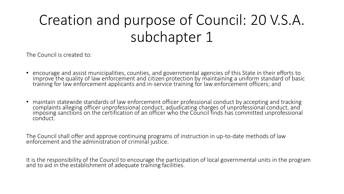### Creation and purpose of Council: 20 V.S.A. subchapter 1

The Council is created to:

- encourage and assist municipalities, counties, and governmental agencies of this State in their efforts to improve the quality of law enforcement and citizen protection by maintaining a uniform standard of basic training for law enforcement applicants and in-service training for law enforcement officers; and
- maintain statewide standards of law enforcement officer professional conduct by accepting and tracking complaints alleging officer unprofessional conduct, adjudicating charges of unprofessional conduct, and imposing sanctions on the certification of an officer who the Council finds has committed unprofessional conduct.

The Council shall offer and approve continuing programs of instruction in up-to-date methods of law enforcement and the administration of criminal justice.

It is the responsibility of the Council to encourage the participation of local governmental units in the program and to aid in the establishment of adequate training facilities.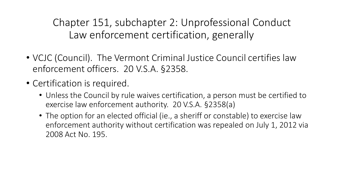Chapter 151, subchapter 2: Unprofessional Conduct Law enforcement certification, generally

- VCJC (Council). The Vermont Criminal Justice Council certifies law enforcement officers. 20 V.S.A. §2358.
- Certification is required.
	- Unless the Council by rule waives certification, a person must be certified to exercise law enforcement authority. 20 V.S.A. §2358(a)
	- The option for an elected official (ie., a sheriff or constable) to exercise law enforcement authority without certification was repealed on July 1, 2012 via 2008 Act No. 195.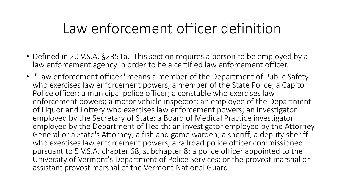#### Law enforcement officer definition

- Defined in 20 V.S.A. §2351a. This section requires a person to be employed by a law enforcement agency in order to be a certified law enforcement officer.
- "Law enforcement officer" means a member of the Department of Public Safety who exercises law enforcement powers; a member of the State Police; a Capitol Police officer; a municipal police officer; a constable who exercises law enforcement powers; a motor vehicle inspector; an employee of the Department of Liquor and Lottery who exercises law enforcement powers; an investigator employed by the Secretary of State; a Board of Medical Practice investigator employed by the Department of Health; an investigator employed by the Attorney General or a State's Attorney; a fish and game warden; a sheriff; a deputy sheriff who exercises law enforcement powers; a railroad police officer commissioned pursuant to 5 V.S.A. chapter 68, subchapter 8; a police officer appointed to the University of Vermont's Department of Police Services; or the provost marshal or assistant provost marshal of the Vermont National Guard.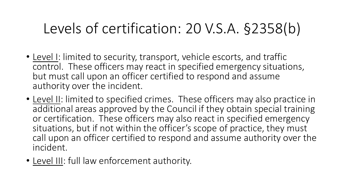#### Levels of certification: 20 V.S.A. §2358(b)

- Level I: limited to security, transport, vehicle escorts, and traffic control. These officers may react in specified emergency situations, but must call upon an officer certified to respond and assume authority over the incident.
- Level II: limited to specified crimes. These officers may also practice in additional areas approved by the Council if they obtain special training or certification. These officers may also react in specified emergency situations, but if not within the officer's scope of practice, they must call upon an officer certified to respond and assume authority over the incident.
- Level III: full law enforcement authority.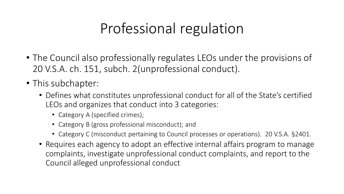#### Professional regulation

- The Council also professionally regulates LEOs under the provisions of 20 V.S.A. ch. 151, subch. 2(unprofessional conduct).
- This subchapter:
	- Defines what constitutes unprofessional conduct for all of the State's certified LEOs and organizes that conduct into 3 categories:
		- Category A (specified crimes);
		- Category B (gross professional misconduct); and
		- Category C (misconduct pertaining to Council processes or operations). 20 V.S.A. §2401.
	- Requires each agency to adopt an effective internal affairs program to manage complaints, investigate unprofessional conduct complaints, and report to the Council alleged unprofessional conduct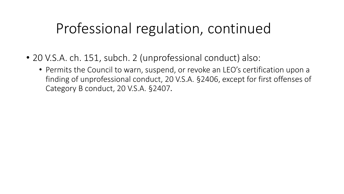#### Professional regulation, continued

- 20 V.S.A. ch. 151, subch. 2 (unprofessional conduct) also:
	- Permits the Council to warn, suspend, or revoke an LEO's certification upon a finding of unprofessional conduct, 20 V.S.A. §2406, except for first offenses of Category B conduct, 20 V.S.A. §2407.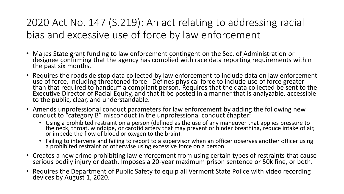#### 2020 Act No. 147 (S.219): An act relating to addressing racial bias and excessive use of force by law enforcement

- Makes State grant funding to law enforcement contingent on the Sec. of Administration or designee confirming that the agency has complied with race data reporting requirements within the past six months.
- Requires the roadside stop data collected by law enforcement to include data on law enforcement use of force, including threatened force. Defines physical force to include use of force greater than that required to handcuff a compliant person. Requires that the data collected be sent to the Executive Director of Racial Equity, and that it be posted in a manner that is analyzable, accessible to the public, clear, and understandable.
- Amends unprofessional conduct parameters for law enforcement by adding the following new conduct to "category B" misconduct in the unprofessional conduct chapter:
	- Using a prohibited restraint on a person (defined as the use of any maneuver that applies pressure to the neck, throat, windpipe, or carotid artery that may prevent or hinder breathing, reduce intake of air, or impede the flow of blood or oxygen to the brain).
	- Failing to intervene and failing to report to a supervisor when an officer observes another officer using a prohibited restraint or otherwise using excessive force on a person.
- Creates a new crime prohibiting law enforcement from using certain types of restraints that cause serious bodily injury or death. Imposes a 20-year maximum prison sentence or 50k fine, or both.
- Requires the Department of Public Safety to equip all Vermont State Police with video recording devices by August 1, 2020.